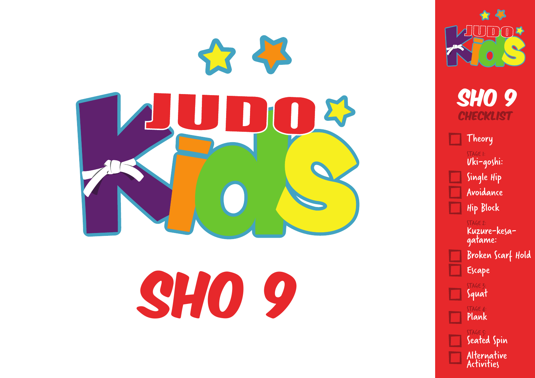



Theory STAGE 1: Uki-goshi : Single Hip Avoidance Hip Block

> STAGE 2: Kuzure-kesagatame: Broken Scarf Hold Escape

Squat STAGE 4 Plank STAGE 5: Seated Spin Alternative Activities

STAGE 3: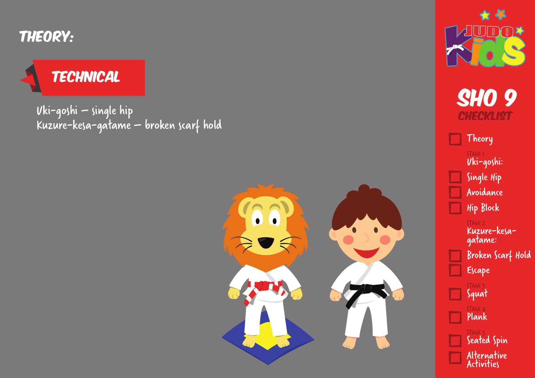Theory:

## **TECHNICAL**

Uki-goshi – single hip Kuzure-kesa-gatame – broken scarf hold





**SHO 9 CHECKLIST** 

Theory STAGE 1: Uki-goshi : Single Hip Avoidance Hip Block

> STAGE 2: Kuzure-kesagatame: Broken Scarf Hold Escape STAGE 3: Squat

STAGE 4: Plank

> STAGE 5: Seated Spin Alternative Activities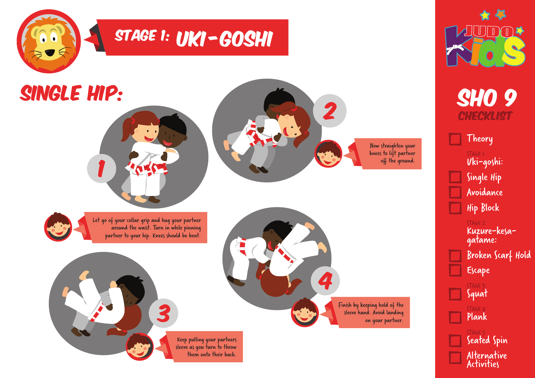



Theory STAGE 1: Uki-goshi: Single Hip Avoidance Hip Block

> STAGE 2: Kuzure-kesagatame: Broken Scarf Hold Escape

Squat STAGE 4: Plank STAGE 5: Seated Spin Alternative Activities

STAGE 3: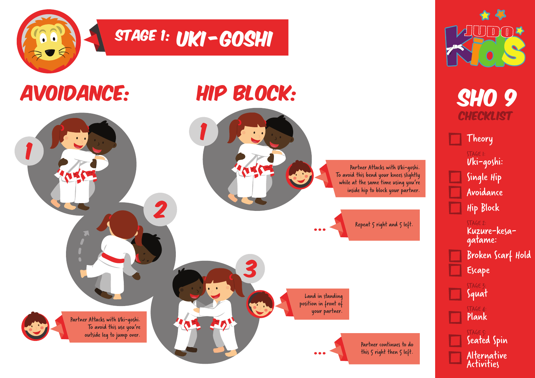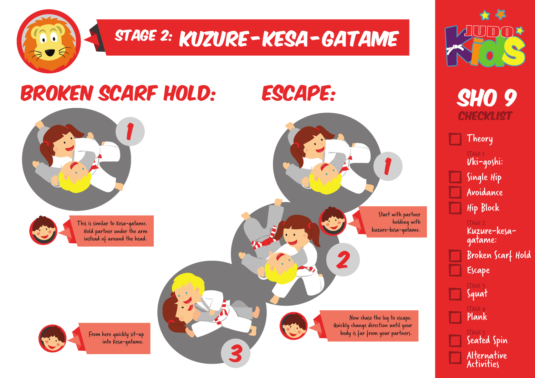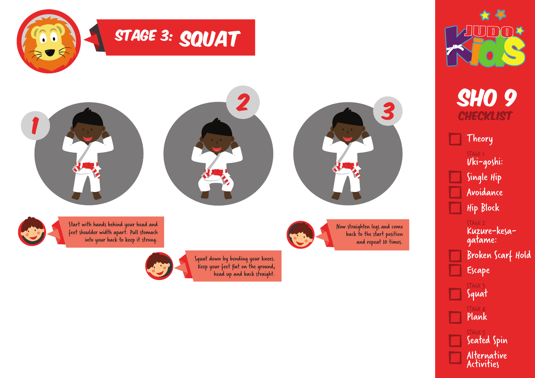![](_page_5_Picture_0.jpeg)

![](_page_5_Picture_1.jpeg)

Theory STAGE 1: Uki-goshi: Single Hip Avoidance Hip Block

Squat

 $TAGE$ Plank

STAGE 5:

Seated Spin

Alternative Activities

STAGE 2: Kuzure-kesagatame: Broken Scarf Hold Escape STAGE 3: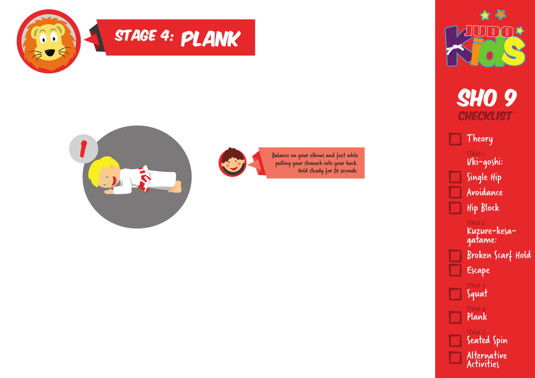![](_page_6_Picture_0.jpeg)

## STAGE 4: PLANK

![](_page_6_Picture_2.jpeg)

Balance on your elbows and feet while pulling your stomach into your back. Hold steady for 20 seconds.

![](_page_6_Picture_4.jpeg)

**SHO 9 CHECKLIST** 

Theory

STAGE 1: Uki-goshi: Single Hip Avoidance Hip Block

> STAGE 2: Kuzure-kesagatame: Broken Scarf Hold

Escape STAGE 3 Squat STAGE 4 Plank STAGE 5: Seated Spin Alternative Activities